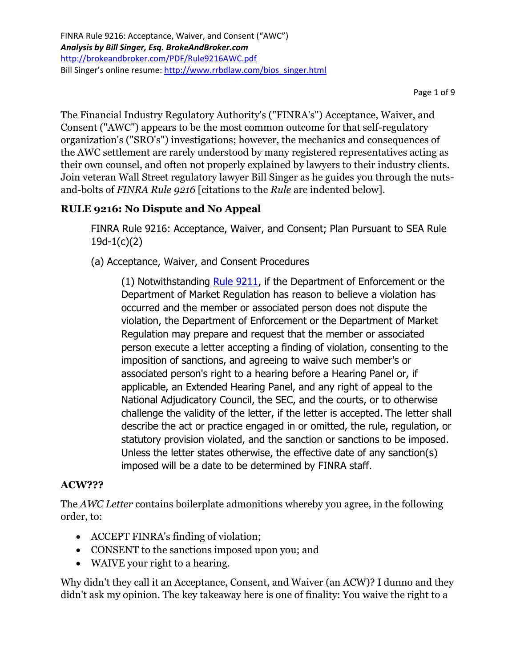The Financial Industry Regulatory Authority's ("FINRA's") Acceptance, Waiver, and Consent ("AWC") appears to be the most common outcome for that self-regulatory organization's ("SRO's") investigations; however, the mechanics and consequences of the AWC settlement are rarely understood by many registered representatives acting as their own counsel, and often not properly explained by lawyers to their industry clients. Join veteran Wall Street regulatory lawyer Bill Singer as he guides you through the nutsand-bolts of *FINRA Rule 9216* [citations to the *Rule* are indented below].

# **RULE 9216: No Dispute and No Appeal**

FINRA Rule 9216: Acceptance, Waiver, and Consent; Plan Pursuant to SEA Rule 19d-1(c)(2)

(a) Acceptance, Waiver, and Consent Procedures

(1) Notwithstanding [Rule 9211,](http://finra.complinet.com/en/display/display.html?rbid=2403&element_id=3921) if the Department of Enforcement or the Department of Market Regulation has reason to believe a violation has occurred and the member or associated person does not dispute the violation, the Department of Enforcement or the Department of Market Regulation may prepare and request that the member or associated person execute a letter accepting a finding of violation, consenting to the imposition of sanctions, and agreeing to waive such member's or associated person's right to a hearing before a Hearing Panel or, if applicable, an Extended Hearing Panel, and any right of appeal to the National Adjudicatory Council, the SEC, and the courts, or to otherwise challenge the validity of the letter, if the letter is accepted. The letter shall describe the act or practice engaged in or omitted, the rule, regulation, or statutory provision violated, and the sanction or sanctions to be imposed. Unless the letter states otherwise, the effective date of any sanction(s) imposed will be a date to be determined by FINRA staff.

# **ACW???**

The *AWC Letter* contains boilerplate admonitions whereby you agree, in the following order, to:

- ACCEPT FINRA's finding of violation;
- CONSENT to the sanctions imposed upon you; and
- WAIVE your right to a hearing.

Why didn't they call it an Acceptance, Consent, and Waiver (an ACW)? I dunno and they didn't ask my opinion. The key takeaway here is one of finality: You waive the right to a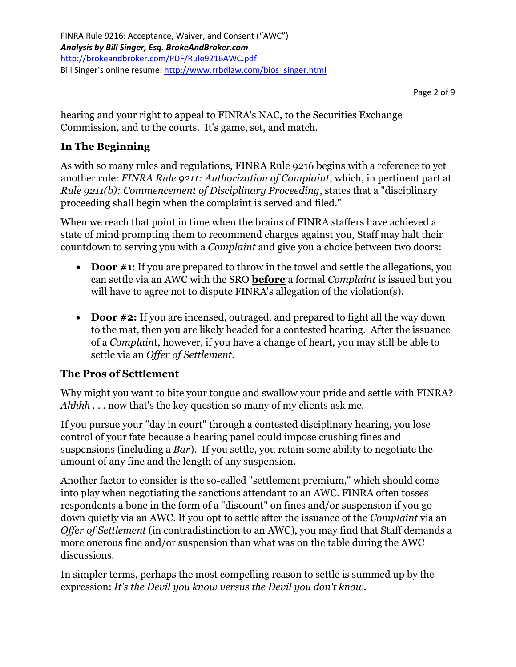hearing and your right to appeal to FINRA's NAC, to the Securities Exchange Commission, and to the courts. It's game, set, and match.

### **In The Beginning**

As with so many rules and regulations, FINRA Rule 9216 begins with a reference to yet another rule: *FINRA Rule 9211: Authorization of Complaint*, which, in pertinent part at *Rule 9211(b): Commencement of Disciplinary Proceeding*, states that a "disciplinary proceeding shall begin when the complaint is served and filed."

When we reach that point in time when the brains of FINRA staffers have achieved a state of mind prompting them to recommend charges against you, Staff may halt their countdown to serving you with a *Complaint* and give you a choice between two doors:

- **Door #1:** If you are prepared to throw in the towel and settle the allegations, you can settle via an AWC with the SRO **before** a formal *Complaint* is issued but you will have to agree not to dispute FINRA's allegation of the violation(s).
- **Door #2:** If you are incensed, outraged, and prepared to fight all the way down to the mat, then you are likely headed for a contested hearing. After the issuance of a *Complain*t, however, if you have a change of heart, you may still be able to settle via an *Offer of Settlement*.

#### **The Pros of Settlement**

Why might you want to bite your tongue and swallow your pride and settle with FINRA? *Ahhhh* . . . now that's the key question so many of my clients ask me.

If you pursue your "day in court" through a contested disciplinary hearing, you lose control of your fate because a hearing panel could impose crushing fines and suspensions (including a *Bar*). If you settle, you retain some ability to negotiate the amount of any fine and the length of any suspension.

Another factor to consider is the so-called "settlement premium," which should come into play when negotiating the sanctions attendant to an AWC. FINRA often tosses respondents a bone in the form of a "discount" on fines and/or suspension if you go down quietly via an AWC. If you opt to settle after the issuance of the *Complaint* via an *Offer of Settlement* (in contradistinction to an AWC), you may find that Staff demands a more onerous fine and/or suspension than what was on the table during the AWC discussions.

In simpler terms, perhaps the most compelling reason to settle is summed up by the expression: *It's the Devil you know versus the Devil you don't know.*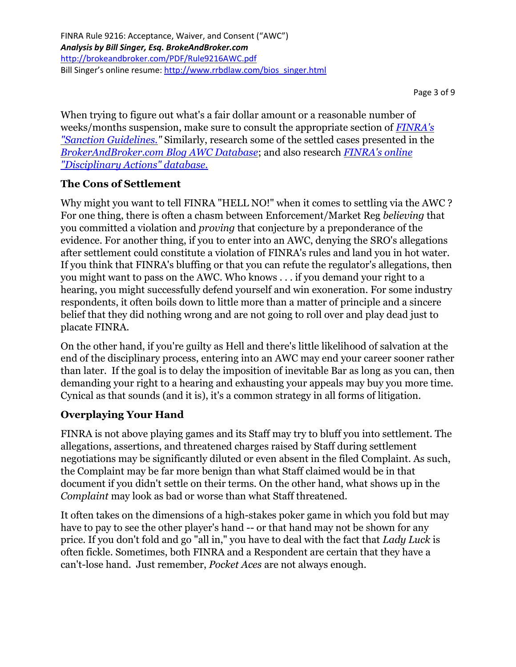Page 3 of 9

When trying to figure out what's a fair dollar amount or a reasonable number of weeks/months suspension, make sure to consult the appropriate section of *[FINRA's](http://www.finra.org/sites/default/files/Sanctions_Guidelines.pdf)  ["Sanction Guidelines."](http://www.finra.org/sites/default/files/Sanctions_Guidelines.pdf)* Similarly, research some of the settled cases presented in the *[BrokerAndBroker.com Blog AWC Database](http://www.brokeandbroker.com/index.php?a=topic&topic=awc)*; and also research *[FINRA's online](http://disciplinaryactions.finra.org/search.aspx?)  ["Disciplinary Actions" database.](http://disciplinaryactions.finra.org/search.aspx?)*

### **The Cons of Settlement**

Why might you want to tell FINRA "HELL NO!" when it comes to settling via the AWC ? For one thing, there is often a chasm between Enforcement/Market Reg *believing* that you committed a violation and *proving* that conjecture by a preponderance of the evidence. For another thing, if you to enter into an AWC, denying the SRO's allegations after settlement could constitute a violation of FINRA's rules and land you in hot water. If you think that FINRA's bluffing or that you can refute the regulator's allegations, then you might want to pass on the AWC. Who knows . . . if you demand your right to a hearing, you might successfully defend yourself and win exoneration. For some industry respondents, it often boils down to little more than a matter of principle and a sincere belief that they did nothing wrong and are not going to roll over and play dead just to placate FINRA.

On the other hand, if you're guilty as Hell and there's little likelihood of salvation at the end of the disciplinary process, entering into an AWC may end your career sooner rather than later. If the goal is to delay the imposition of inevitable Bar as long as you can, then demanding your right to a hearing and exhausting your appeals may buy you more time. Cynical as that sounds (and it is), it's a common strategy in all forms of litigation.

#### **Overplaying Your Hand**

FINRA is not above playing games and its Staff may try to bluff you into settlement. The allegations, assertions, and threatened charges raised by Staff during settlement negotiations may be significantly diluted or even absent in the filed Complaint. As such, the Complaint may be far more benign than what Staff claimed would be in that document if you didn't settle on their terms. On the other hand, what shows up in the *Complaint* may look as bad or worse than what Staff threatened.

It often takes on the dimensions of a high-stakes poker game in which you fold but may have to pay to see the other player's hand -- or that hand may not be shown for any price. If you don't fold and go "all in," you have to deal with the fact that *Lady Luck* is often fickle. Sometimes, both FINRA and a Respondent are certain that they have a can't-lose hand. Just remember, *Pocket Aces* are not always enough.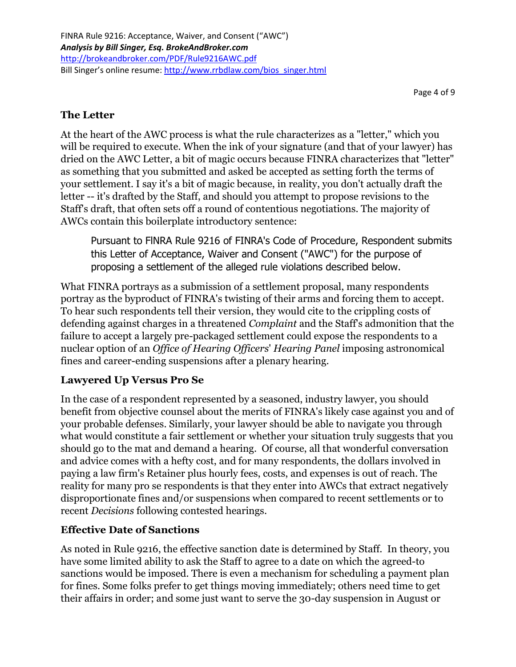Page 4 of 9

# **The Letter**

At the heart of the AWC process is what the rule characterizes as a "letter," which you will be required to execute. When the ink of your signature (and that of your lawyer) has dried on the AWC Letter, a bit of magic occurs because FINRA characterizes that "letter" as something that you submitted and asked be accepted as setting forth the terms of your settlement. I say it's a bit of magic because, in reality, you don't actually draft the letter -- it's drafted by the Staff, and should you attempt to propose revisions to the Staff's draft, that often sets off a round of contentious negotiations. The majority of AWCs contain this boilerplate introductory sentence:

Pursuant to FlNRA Rule 9216 of FINRA's Code of Procedure, Respondent submits this Letter of Acceptance, Waiver and Consent ("AWC") for the purpose of proposing a settlement of the alleged rule violations described below.

What FINRA portrays as a submission of a settlement proposal, many respondents portray as the byproduct of FINRA's twisting of their arms and forcing them to accept. To hear such respondents tell their version, they would cite to the crippling costs of defending against charges in a threatened *Complaint* and the Staff's admonition that the failure to accept a largely pre-packaged settlement could expose the respondents to a nuclear option of an *Office of Hearing Officers*' *Hearing Panel* imposing astronomical fines and career-ending suspensions after a plenary hearing.

# **Lawyered Up Versus Pro Se**

In the case of a respondent represented by a seasoned, industry lawyer, you should benefit from objective counsel about the merits of FINRA's likely case against you and of your probable defenses. Similarly, your lawyer should be able to navigate you through what would constitute a fair settlement or whether your situation truly suggests that you should go to the mat and demand a hearing. Of course, all that wonderful conversation and advice comes with a hefty cost, and for many respondents, the dollars involved in paying a law firm's Retainer plus hourly fees, costs, and expenses is out of reach. The reality for many pro se respondents is that they enter into AWCs that extract negatively disproportionate fines and/or suspensions when compared to recent settlements or to recent *Decisions* following contested hearings.

#### **Effective Date of Sanctions**

As noted in Rule 9216, the effective sanction date is determined by Staff. In theory, you have some limited ability to ask the Staff to agree to a date on which the agreed-to sanctions would be imposed. There is even a mechanism for scheduling a payment plan for fines. Some folks prefer to get things moving immediately; others need time to get their affairs in order; and some just want to serve the 30-day suspension in August or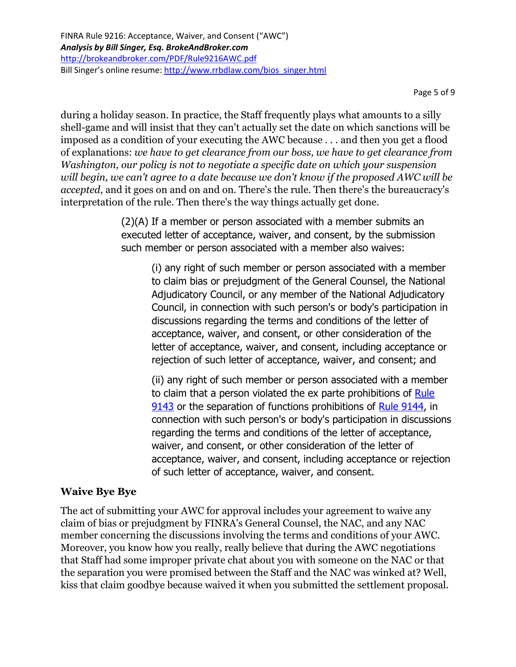Page 5 of 9

during a holiday season. In practice, the Staff frequently plays what amounts to a silly shell-game and will insist that they can't actually set the date on which sanctions will be imposed as a condition of your executing the AWC because . . . and then you get a flood of explanations: *we have to get clearance from our boss, we have to get clearance from Washington, our policy is not to negotiate a specific date on which your suspension will begin, we can't agree to a date because we don't know if the proposed AWC will be accepted*, and it goes on and on and on. There's the rule. Then there's the bureaucracy's interpretation of the rule. Then there's the way things actually get done.

> (2)(A) If a member or person associated with a member submits an executed letter of acceptance, waiver, and consent, by the submission such member or person associated with a member also waives:

(i) any right of such member or person associated with a member to claim bias or prejudgment of the General Counsel, the National Adjudicatory Council, or any member of the National Adjudicatory Council, in connection with such person's or body's participation in discussions regarding the terms and conditions of the letter of acceptance, waiver, and consent, or other consideration of the letter of acceptance, waiver, and consent, including acceptance or rejection of such letter of acceptance, waiver, and consent; and

(ii) any right of such member or person associated with a member to claim that a person violated the ex parte prohibitions of [Rule](http://finra.complinet.com/en/display/display.html?rbid=2403&element_id=3911)  [9143](http://finra.complinet.com/en/display/display.html?rbid=2403&element_id=3911) or the separation of functions prohibitions of [Rule 9144,](http://finra.complinet.com/en/display/display.html?rbid=2403&element_id=3912) in connection with such person's or body's participation in discussions regarding the terms and conditions of the letter of acceptance, waiver, and consent, or other consideration of the letter of acceptance, waiver, and consent, including acceptance or rejection of such letter of acceptance, waiver, and consent.

#### **Waive Bye Bye**

The act of submitting your AWC for approval includes your agreement to waive any claim of bias or prejudgment by FINRA's General Counsel, the NAC, and any NAC member concerning the discussions involving the terms and conditions of your AWC. Moreover, you know how you really, really believe that during the AWC negotiations that Staff had some improper private chat about you with someone on the NAC or that the separation you were promised between the Staff and the NAC was winked at? Well, kiss that claim goodbye because waived it when you submitted the settlement proposal.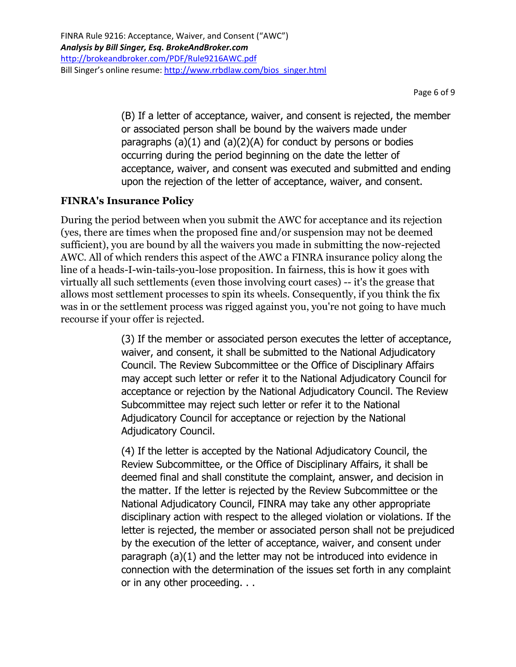Page 6 of 9

(B) If a letter of acceptance, waiver, and consent is rejected, the member or associated person shall be bound by the waivers made under paragraphs  $(a)(1)$  and  $(a)(2)(A)$  for conduct by persons or bodies occurring during the period beginning on the date the letter of acceptance, waiver, and consent was executed and submitted and ending upon the rejection of the letter of acceptance, waiver, and consent.

### **FINRA's Insurance Policy**

During the period between when you submit the AWC for acceptance and its rejection (yes, there are times when the proposed fine and/or suspension may not be deemed sufficient), you are bound by all the waivers you made in submitting the now-rejected AWC. All of which renders this aspect of the AWC a FINRA insurance policy along the line of a heads-I-win-tails-you-lose proposition. In fairness, this is how it goes with virtually all such settlements (even those involving court cases) -- it's the grease that allows most settlement processes to spin its wheels. Consequently, if you think the fix was in or the settlement process was rigged against you, you're not going to have much recourse if your offer is rejected.

> (3) If the member or associated person executes the letter of acceptance, waiver, and consent, it shall be submitted to the National Adjudicatory Council. The Review Subcommittee or the Office of Disciplinary Affairs may accept such letter or refer it to the National Adjudicatory Council for acceptance or rejection by the National Adjudicatory Council. The Review Subcommittee may reject such letter or refer it to the National Adjudicatory Council for acceptance or rejection by the National Adjudicatory Council.

> (4) If the letter is accepted by the National Adjudicatory Council, the Review Subcommittee, or the Office of Disciplinary Affairs, it shall be deemed final and shall constitute the complaint, answer, and decision in the matter. If the letter is rejected by the Review Subcommittee or the National Adjudicatory Council, FINRA may take any other appropriate disciplinary action with respect to the alleged violation or violations. If the letter is rejected, the member or associated person shall not be prejudiced by the execution of the letter of acceptance, waiver, and consent under paragraph (a)(1) and the letter may not be introduced into evidence in connection with the determination of the issues set forth in any complaint or in any other proceeding. . .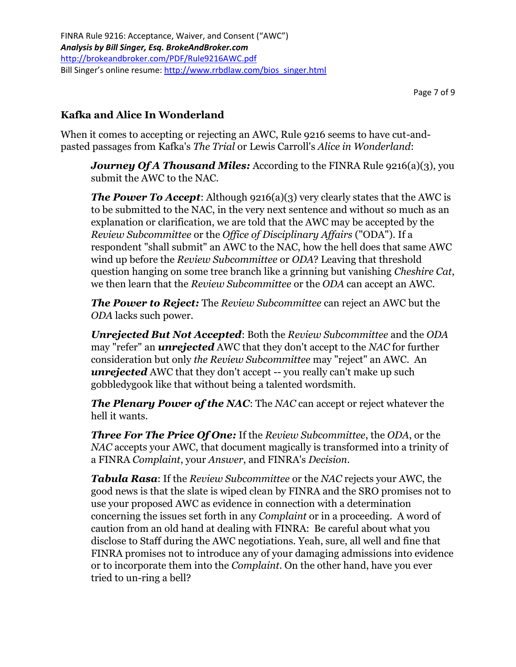#### **Kafka and Alice In Wonderland**

When it comes to accepting or rejecting an AWC, Rule 9216 seems to have cut-andpasted passages from Kafka's *The Trial* or Lewis Carroll's *Alice in Wonderland*:

*Journey Of A Thousand Miles:* According to the FINRA Rule 9216(a)(3), you submit the AWC to the NAC.

*The Power To Accept:* Although 9216(a)(3) very clearly states that the AWC is to be submitted to the NAC, in the very next sentence and without so much as an explanation or clarification, we are told that the AWC may be accepted by the *Review Subcommittee* or the *Office of Disciplinary Affairs* ("ODA"). If a respondent "shall submit" an AWC to the NAC, how the hell does that same AWC wind up before the *Review Subcommittee* or *ODA*? Leaving that threshold question hanging on some tree branch like a grinning but vanishing *Cheshire Cat*, we then learn that the *Review Subcommittee* or the *ODA* can accept an AWC.

*The Power to Reject:* The *Review Subcommittee* can reject an AWC but the *ODA* lacks such power.

*Unrejected But Not Accepted*: Both the *Review Subcommittee* and the *ODA* may "refer" an *unrejected* AWC that they don't accept to the *NAC* for further consideration but only *the Review Subcommittee* may "reject" an AWC. An *unrejected* AWC that they don't accept -- you really can't make up such gobbledygook like that without being a talented wordsmith.

*The Plenary Power of the NAC*: The *NAC* can accept or reject whatever the hell it wants.

*Three For The Price Of One:* If the *Review Subcommittee*, the *ODA*, or the *NAC* accepts your AWC, that document magically is transformed into a trinity of a FINRA *Complaint*, your *Answer*, and FINRA's *Decision*.

*Tabula Rasa*: If the *Review Subcommittee* or the *NAC* rejects your AWC, the good news is that the slate is wiped clean by FINRA and the SRO promises not to use your proposed AWC as evidence in connection with a determination concerning the issues set forth in any *Complaint* or in a proceeding. A word of caution from an old hand at dealing with FINRA: Be careful about what you disclose to Staff during the AWC negotiations. Yeah, sure, all well and fine that FINRA promises not to introduce any of your damaging admissions into evidence or to incorporate them into the *Complaint*. On the other hand, have you ever tried to un-ring a bell?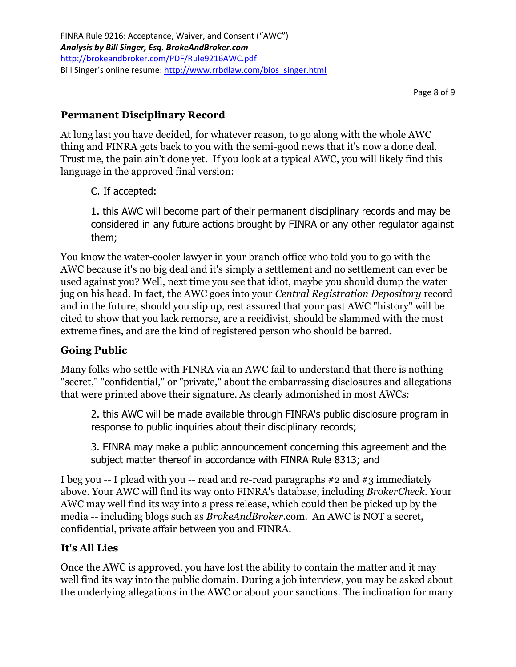# **Permanent Disciplinary Record**

At long last you have decided, for whatever reason, to go along with the whole AWC thing and FINRA gets back to you with the semi-good news that it's now a done deal. Trust me, the pain ain't done yet. If you look at a typical AWC, you will likely find this language in the approved final version:

C. If accepted:

1. this AWC will become part of their permanent disciplinary records and may be considered in any future actions brought by FINRA or any other regulator against them;

You know the water-cooler lawyer in your branch office who told you to go with the AWC because it's no big deal and it's simply a settlement and no settlement can ever be used against you? Well, next time you see that idiot, maybe you should dump the water jug on his head. In fact, the AWC goes into your *Central Registration Depository* record and in the future, should you slip up, rest assured that your past AWC "history" will be cited to show that you lack remorse, are a recidivist, should be slammed with the most extreme fines, and are the kind of registered person who should be barred.

#### **Going Public**

Many folks who settle with FINRA via an AWC fail to understand that there is nothing "secret," "confidential," or "private," about the embarrassing disclosures and allegations that were printed above their signature. As clearly admonished in most AWCs:

2. this AWC will be made available through FINRA's public disclosure program in response to public inquiries about their disciplinary records;

3. FINRA may make a public announcement concerning this agreement and the subject matter thereof in accordance with FINRA Rule 8313; and

I beg you -- I plead with you -- read and re-read paragraphs #2 and #3 immediately above. Your AWC will find its way onto FINRA's database, including *BrokerCheck*. Your AWC may well find its way into a press release, which could then be picked up by the media -- including blogs such as *BrokeAndBroker*.com. An AWC is NOT a secret, confidential, private affair between you and FINRA.

#### **It's All Lies**

Once the AWC is approved, you have lost the ability to contain the matter and it may well find its way into the public domain. During a job interview, you may be asked about the underlying allegations in the AWC or about your sanctions. The inclination for many